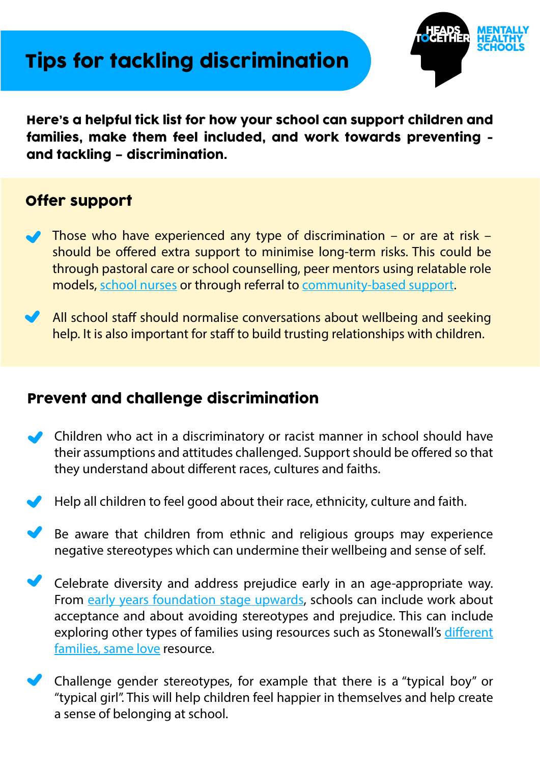## Tips for tackling discrimination



Here's a helpful tick list for how your school can support children and families, make them feel included, and work towards preventing and tackling – discrimination.

### Offer support

- ◆ Those who have experienced any type of discrimination or are at risk should be offered extra support to minimise long-term risks. This could be through pastoral care or school counselling, peer mentors using relatable role models, [school nurses o](https://www.mentallyhealthyschools.org.uk/whole-school-approach/school-and-local-commissioning/school-nursing/)r through referral to [community-based support.](https://www.mentallyhealthyschools.org.uk/whole-school-approach/school-and-local-commissioning/broader-community-services/)
- All school staff should normalise conversations about wellbeing and seeking help. It is also important for staff to build trusting relationships with children.

#### Prevent and challenge discrimination

- Children who act in a discriminatory or racist manner in school should have their assumptions and attitudes challenged. Support should be offered so that they understand about different races, cultures and faiths.
- Help all children to feel good about their race, ethnicity, culture and faith.
- Be aware that children from ethnic and religious groups may experience negative stereotypes which can undermine their wellbeing and sense of self.
- Celebrate diversity and address prejudice early in an age-appropriate way. From [early years foundation stage upwards,](https://www.stonewall.org.uk/resources/getting-started-toolkit-early-years) schools can include work about acceptance and about avoiding stereotypes and prejudice. This can include exploring other types of families using resources such as Stonewall's different [families, same love](https://www.stonewall.org.uk/resources/different-families-same-love-pack) resource.
- Challenge gender stereotypes, for example that there is a "typical boy" or "typical girl". This will help children feel happier in themselves and help create a sense of belonging at school.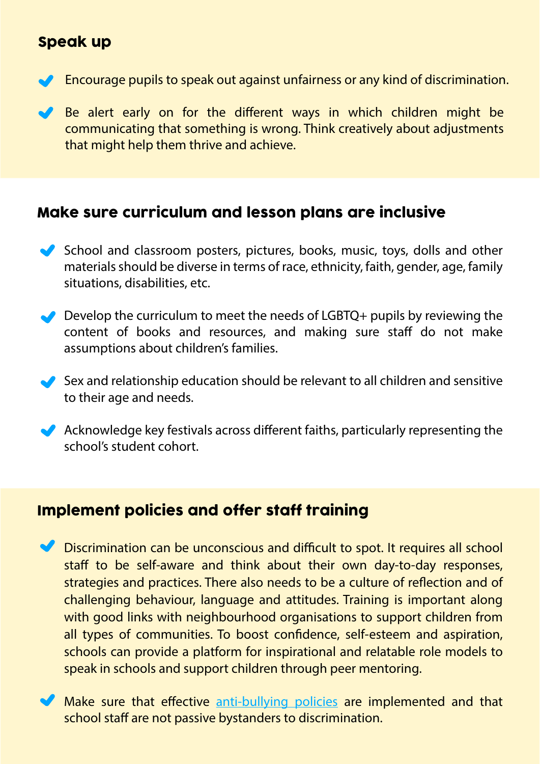### Speak up

- **Encourage pupils to speak out against unfairness or any kind of discrimination.**
- Be alert early on for the different ways in which children might be communicating that something is wrong. Think creatively about adjustments that might help them thrive and achieve.

## Make sure curriculum and lesson plans are inclusive

- School and classroom posters, pictures, books, music, toys, dolls and other materials should be diverse in terms of race, ethnicity, faith, gender, age, family situations, disabilities, etc.
- $\bullet\hspace{-.15cm}$  Develop the curriculum to meet the needs of LGBTQ+ pupils by reviewing the content of books and resources, and making sure staff do not make assumptions about children's families.
- Sex and relationship education should be relevant to all children and sensitive to their age and needs.
- Acknowledge key festivals across different faiths, particularly representing the school's student cohort.

#### Implement policies and offer staff training

- $\blacktriangleright$  Discrimination can be unconscious and difficult to spot. It requires all school staff to be self-aware and think about their own day-to-day responses, strategies and practices. There also needs to be a culture of reflection and of challenging behaviour, language and attitudes. Training is important along with good links with neighbourhood organisations to support children from all types of communities. To boost confidence, self-esteem and aspiration, schools can provide a platform for inspirational and relatable role models to speak in schools and support children through peer mentoring.
- Make sure that effective [anti-bullying policies](https://www.mentallyhealthyschools.org.uk/risks-and-protective-factors/bullying-and-cyberbullying/) are implemented and that school staff are not passive bystanders to discrimination.